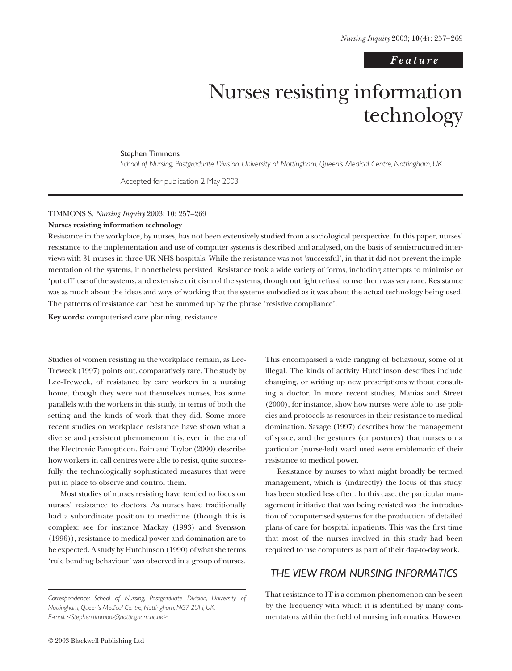### *Feature*

# Nurses resisting information technology

#### Stephen Timmons

*School of Nursing, Postgraduate Division, University of Nottingham, Queen's Medical Centre, Nottingham, UK* 

Accepted for publication 2 May 2003

#### TIMMONS S. *Nursing Inquiry* 2003; **10**: 257–269

#### **Nurses resisting information technology**

Resistance in the workplace, by nurses, has not been extensively studied from a sociological perspective. In this paper, nurses' resistance to the implementation and use of computer systems is described and analysed, on the basis of semistructured interviews with 31 nurses in three UK NHS hospitals. While the resistance was not 'successful', in that it did not prevent the implementation of the systems, it nonetheless persisted. Resistance took a wide variety of forms, including attempts to minimise or 'put off' use of the systems, and extensive criticism of the systems, though outright refusal to use them was very rare. Resistance was as much about the ideas and ways of working that the systems embodied as it was about the actual technology being used. The patterns of resistance can best be summed up by the phrase 'resistive compliance'.

**Key words:** computerised care planning, resistance.

Studies of women resisting in the workplace remain, as Lee-Treweek (1997) points out, comparatively rare. The study by Lee-Treweek, of resistance by care workers in a nursing home, though they were not themselves nurses, has some parallels with the workers in this study, in terms of both the setting and the kinds of work that they did. Some more recent studies on workplace resistance have shown what a diverse and persistent phenomenon it is, even in the era of the Electronic Panopticon. Bain and Taylor (2000) describe how workers in call centres were able to resist, quite successfully, the technologically sophisticated measures that were put in place to observe and control them.

Most studies of nurses resisting have tended to focus on nurses' resistance to doctors. As nurses have traditionally had a subordinate position to medicine (though this is complex: see for instance Mackay (1993) and Svensson (1996)), resistance to medical power and domination are to be expected. A study by Hutchinson (1990) of what she terms 'rule bending behaviour' was observed in a group of nurses.

This encompassed a wide ranging of behaviour, some of it illegal. The kinds of activity Hutchinson describes include changing, or writing up new prescriptions without consulting a doctor. In more recent studies, Manias and Street (2000), for instance, show how nurses were able to use policies and protocols as resources in their resistance to medical domination. Savage (1997) describes how the management of space, and the gestures (or postures) that nurses on a particular (nurse-led) ward used were emblematic of their resistance to medical power.

Resistance by nurses to what might broadly be termed management, which is (indirectly) the focus of this study, has been studied less often. In this case, the particular management initiative that was being resisted was the introduction of computerised systems for the production of detailed plans of care for hospital inpatients. This was the first time that most of the nurses involved in this study had been required to use computers as part of their day-to-day work.

## *THE VIEW FROM NURSING INFORMATICS*

That resistance to IT is a common phenomenon can be seen by the frequency with which it is identified by many commentators within the field of nursing informatics. However,

*Correspondence: School of Nursing, Postgraduate Division, University of Nottingham, Queen's Medical Centre, Nottingham, NG7 2UH, UK. E-mail: <Stephen.timmons@nottingham.ac.uk>*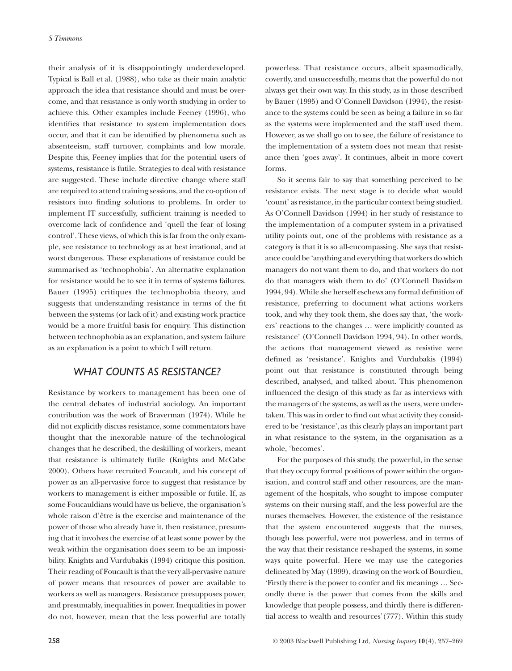their analysis of it is disappointingly underdeveloped. Typical is Ball et al. (1988), who take as their main analytic approach the idea that resistance should and must be overcome, and that resistance is only worth studying in order to achieve this. Other examples include Feeney (1996), who identifies that resistance to system implementation does occur, and that it can be identified by phenomena such as absenteeism, staff turnover, complaints and low morale. Despite this, Feeney implies that for the potential users of systems, resistance is futile. Strategies to deal with resistance are suggested. These include directive change where staff are required to attend training sessions, and the co-option of resistors into finding solutions to problems. In order to implement IT successfully, sufficient training is needed to overcome lack of confidence and 'quell the fear of losing control'. These views, of which this is far from the only example, see resistance to technology as at best irrational, and at worst dangerous. These explanations of resistance could be summarised as 'technophobia'. An alternative explanation for resistance would be to see it in terms of systems failures. Bauer (1995) critiques the technophobia theory, and suggests that understanding resistance in terms of the fit between the systems (or lack of it) and existing work practice would be a more fruitful basis for enquiry. This distinction between technophobia as an explanation, and system failure as an explanation is a point to which I will return.

## *WHAT COUNTS AS RESISTANCE?*

Resistance by workers to management has been one of the central debates of industrial sociology. An important contribution was the work of Braverman (1974). While he did not explicitly discuss resistance, some commentators have thought that the inexorable nature of the technological changes that he described, the deskilling of workers, meant that resistance is ultimately futile (Knights and McCabe 2000). Others have recruited Foucault, and his concept of power as an all-pervasive force to suggest that resistance by workers to management is either impossible or futile. If, as some Foucauldians would have us believe, the organisation's whole raison d'être is the exercise and maintenance of the power of those who already have it, then resistance, presuming that it involves the exercise of at least some power by the weak within the organisation does seem to be an impossibility. Knights and Vurdubakis (1994) critique this position. Their reading of Foucault is that the very all-pervasive nature of power means that resources of power are available to workers as well as managers. Resistance presupposes power, and presumably, inequalities in power. Inequalities in power do not, however, mean that the less powerful are totally

powerless. That resistance occurs, albeit spasmodically, covertly, and unsuccessfully, means that the powerful do not always get their own way. In this study, as in those described by Bauer (1995) and O'Connell Davidson (1994), the resistance to the systems could be seen as being a failure in so far as the systems were implemented and the staff used them. However, as we shall go on to see, the failure of resistance to the implementation of a system does not mean that resistance then 'goes away'. It continues, albeit in more covert forms.

So it seems fair to say that something perceived to be resistance exists. The next stage is to decide what would 'count' as resistance, in the particular context being studied. As O'Connell Davidson (1994) in her study of resistance to the implementation of a computer system in a privatised utility points out, one of the problems with resistance as a category is that it is so all-encompassing. She says that resistance could be 'anything and everything that workers do which managers do not want them to do, and that workers do not do that managers wish them to do' (O'Connell Davidson 1994, 94). While she herself eschews any formal definition of resistance, preferring to document what actions workers took, and why they took them, she does say that, 'the workers' reactions to the changes … were implicitly counted as resistance' (O'Connell Davidson 1994, 94). In other words, the actions that management viewed as resistive were defined as 'resistance'. Knights and Vurdubakis (1994) point out that resistance is constituted through being described, analysed, and talked about. This phenomenon influenced the design of this study as far as interviews with the managers of the systems, as well as the users, were undertaken. This was in order to find out what activity they considered to be 'resistance', as this clearly plays an important part in what resistance to the system, in the organisation as a whole, 'becomes'.

For the purposes of this study, the powerful, in the sense that they occupy formal positions of power within the organisation, and control staff and other resources, are the management of the hospitals, who sought to impose computer systems on their nursing staff, and the less powerful are the nurses themselves. However, the existence of the resistance that the system encountered suggests that the nurses, though less powerful, were not powerless, and in terms of the way that their resistance re-shaped the systems, in some ways quite powerful. Here we may use the categories delineated by May (1999), drawing on the work of Bourdieu, 'Firstly there is the power to confer and fix meanings … Secondly there is the power that comes from the skills and knowledge that people possess, and thirdly there is differential access to wealth and resources'(777). Within this study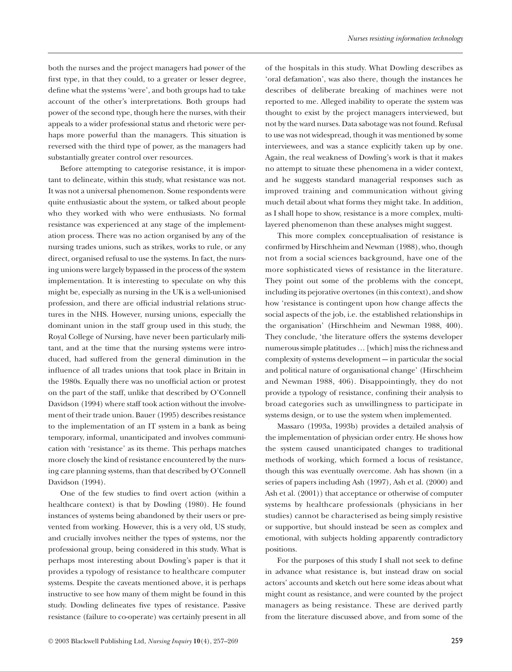both the nurses and the project managers had power of the first type, in that they could, to a greater or lesser degree, define what the systems 'were', and both groups had to take account of the other's interpretations. Both groups had power of the second type, though here the nurses, with their appeals to a wider professional status and rhetoric were perhaps more powerful than the managers. This situation is reversed with the third type of power, as the managers had substantially greater control over resources.

Before attempting to categorise resistance, it is important to delineate, within this study, what resistance was not. It was not a universal phenomenon. Some respondents were quite enthusiastic about the system, or talked about people who they worked with who were enthusiasts. No formal resistance was experienced at any stage of the implementation process. There was no action organised by any of the nursing trades unions, such as strikes, works to rule, or any direct, organised refusal to use the systems. In fact, the nursing unions were largely bypassed in the process of the system implementation. It is interesting to speculate on why this might be, especially as nursing in the UK is a well-unionised profession, and there are official industrial relations structures in the NHS. However, nursing unions, especially the dominant union in the staff group used in this study, the Royal College of Nursing, have never been particularly militant, and at the time that the nursing systems were introduced, had suffered from the general diminution in the influence of all trades unions that took place in Britain in the 1980s. Equally there was no unofficial action or protest on the part of the staff, unlike that described by O'Connell Davidson (1994) where staff took action without the involvement of their trade union. Bauer (1995) describes resistance to the implementation of an IT system in a bank as being temporary, informal, unanticipated and involves communication with 'resistance' as its theme. This perhaps matches more closely the kind of resistance encountered by the nursing care planning systems, than that described by O'Connell Davidson (1994).

One of the few studies to find overt action (within a healthcare context) is that by Dowling (1980). He found instances of systems being abandoned by their users or prevented from working. However, this is a very old, US study, and crucially involves neither the types of systems, nor the professional group, being considered in this study. What is perhaps most interesting about Dowling's paper is that it provides a typology of resistance to healthcare computer systems. Despite the caveats mentioned above, it is perhaps instructive to see how many of them might be found in this study. Dowling delineates five types of resistance. Passive resistance (failure to co-operate) was certainly present in all

of the hospitals in this study. What Dowling describes as 'oral defamation', was also there, though the instances he describes of deliberate breaking of machines were not reported to me. Alleged inability to operate the system was thought to exist by the project managers interviewed, but not by the ward nurses. Data sabotage was not found. Refusal to use was not widespread, though it was mentioned by some interviewees, and was a stance explicitly taken up by one. Again, the real weakness of Dowling's work is that it makes no attempt to situate these phenomena in a wider context, and he suggests standard managerial responses such as improved training and communication without giving much detail about what forms they might take. In addition, as I shall hope to show, resistance is a more complex, multilayered phenomenon than these analyses might suggest.

This more complex conceptualisation of resistance is confirmed by Hirschheim and Newman (1988), who, though not from a social sciences background, have one of the more sophisticated views of resistance in the literature. They point out some of the problems with the concept, including its pejorative overtones (in this context), and show how 'resistance is contingent upon how change affects the social aspects of the job, i.e. the established relationships in the organisation' (Hirschheim and Newman 1988, 400). They conclude, 'the literature offers the systems developer numerous simple platitudes … [which] miss the richness and complexity of systems development — in particular the social and political nature of organisational change' (Hirschheim and Newman 1988, 406). Disappointingly, they do not provide a typology of resistance, confining their analysis to broad categories such as unwillingness to participate in systems design, or to use the system when implemented.

Massaro (1993a, 1993b) provides a detailed analysis of the implementation of physician order entry. He shows how the system caused unanticipated changes to traditional methods of working, which formed a locus of resistance, though this was eventually overcome. Ash has shown (in a series of papers including Ash (1997), Ash et al. (2000) and Ash et al. (2001)) that acceptance or otherwise of computer systems by healthcare professionals (physicians in her studies) cannot be characterised as being simply resistive or supportive, but should instead be seen as complex and emotional, with subjects holding apparently contradictory positions.

For the purposes of this study I shall not seek to define in advance what resistance is, but instead draw on social actors' accounts and sketch out here some ideas about what might count as resistance, and were counted by the project managers as being resistance. These are derived partly from the literature discussed above, and from some of the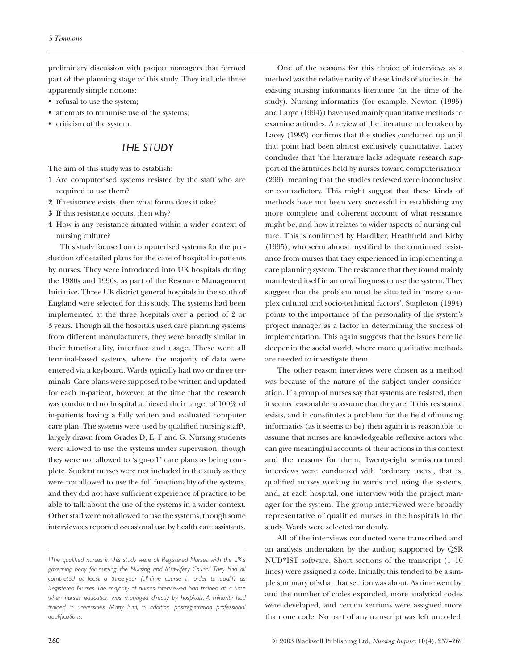preliminary discussion with project managers that formed part of the planning stage of this study. They include three apparently simple notions:

- refusal to use the system;
- attempts to minimise use of the systems;
- criticism of the system.

## *THE STUDY*

The aim of this study was to establish:

- **1** Are computerised systems resisted by the staff who are required to use them?
- **2** If resistance exists, then what forms does it take?
- **3** If this resistance occurs, then why?
- **4** How is any resistance situated within a wider context of nursing culture?

This study focused on computerised systems for the production of detailed plans for the care of hospital in-patients by nurses. They were introduced into UK hospitals during the 1980s and 1990s, as part of the Resource Management Initiative. Three UK district general hospitals in the south of England were selected for this study. The systems had been implemented at the three hospitals over a period of 2 or 3 years. Though all the hospitals used care planning systems from different manufacturers, they were broadly similar in their functionality, interface and usage. These were all terminal-based systems, where the majority of data were entered via a keyboard. Wards typically had two or three terminals. Care plans were supposed to be written and updated for each in-patient, however, at the time that the research was conducted no hospital achieved their target of 100% of in-patients having a fully written and evaluated computer care plan. The systems were used by qualified nursing staff1, largely drawn from Grades D, E, F and G. Nursing students were allowed to use the systems under supervision, though they were not allowed to 'sign-off' care plans as being complete. Student nurses were not included in the study as they were not allowed to use the full functionality of the systems, and they did not have sufficient experience of practice to be able to talk about the use of the systems in a wider context. Other staff were not allowed to use the systems, though some interviewees reported occasional use by health care assistants.

method was the relative rarity of these kinds of studies in the existing nursing informatics literature (at the time of the study). Nursing informatics (for example, Newton (1995) and Large (1994)) have used mainly quantitative methods to examine attitudes. A review of the literature undertaken by Lacey (1993) confirms that the studies conducted up until that point had been almost exclusively quantitative. Lacey concludes that 'the literature lacks adequate research support of the attitudes held by nurses toward computerisation' (239), meaning that the studies reviewed were inconclusive or contradictory. This might suggest that these kinds of methods have not been very successful in establishing any more complete and coherent account of what resistance might be, and how it relates to wider aspects of nursing culture. This is confirmed by Hardiker, Heathfield and Kirby (1995), who seem almost mystified by the continued resistance from nurses that they experienced in implementing a care planning system. The resistance that they found mainly manifested itself in an unwillingness to use the system. They suggest that the problem must be situated in 'more complex cultural and socio-technical factors'. Stapleton (1994) points to the importance of the personality of the system's project manager as a factor in determining the success of implementation. This again suggests that the issues here lie deeper in the social world, where more qualitative methods are needed to investigate them.

One of the reasons for this choice of interviews as a

The other reason interviews were chosen as a method was because of the nature of the subject under consideration. If a group of nurses say that systems are resisted, then it seems reasonable to assume that they are. If this resistance exists, and it constitutes a problem for the field of nursing informatics (as it seems to be) then again it is reasonable to assume that nurses are knowledgeable reflexive actors who can give meaningful accounts of their actions in this context and the reasons for them. Twenty-eight semi-structured interviews were conducted with 'ordinary users', that is, qualified nurses working in wards and using the systems, and, at each hospital, one interview with the project manager for the system. The group interviewed were broadly representative of qualified nurses in the hospitals in the study. Wards were selected randomly.

All of the interviews conducted were transcribed and an analysis undertaken by the author, supported by QSR NUD\*IST software. Short sections of the transcript (1–10 lines) were assigned a code. Initially, this tended to be a simple summary of what that section was about. As time went by, and the number of codes expanded, more analytical codes were developed, and certain sections were assigned more than one code. No part of any transcript was left uncoded.

<sup>1</sup>*The qualified nurses in this study were all Registered Nurses with the UK's governing body for nursing, the Nursing and Midwifery Council. They had all completed at least a three-year full-time course in order to qualify as Registered Nurses. The majority of nurses interviewed had trained at a time when nurses education was managed directly by hospitals. A minority had trained in universities. Many had, in addition, postregistration professional qualifications.*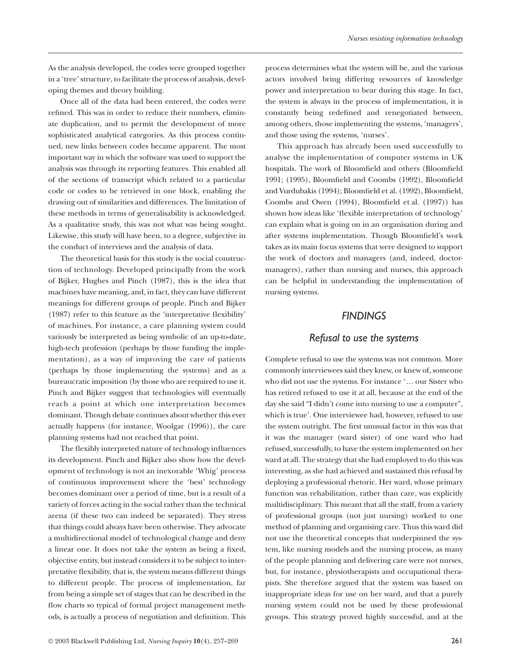As the analysis developed, the codes were grouped together in a 'tree' structure, to facilitate the process of analysis, developing themes and theory building.

Once all of the data had been entered, the codes were refined. This was in order to reduce their numbers, eliminate duplication, and to permit the development of more sophisticated analytical categories. As this process continued, new links between codes became apparent. The most important way in which the software was used to support the analysis was through its reporting features. This enabled all of the sections of transcript which related to a particular code or codes to be retrieved in one block, enabling the drawing out of similarities and differences. The limitation of these methods in terms of generalisability is acknowledged. As a qualitative study, this was not what was being sought. Likewise, this study will have been, to a degree, subjective in the conduct of interviews and the analysis of data.

The theoretical basis for this study is the social construction of technology. Developed principally from the work of Bijker, Hughes and Pinch (1987), this is the idea that machines have meaning, and, in fact, they can have different meanings for different groups of people. Pinch and Bijker (1987) refer to this feature as the 'interpretative flexibility' of machines. For instance, a care planning system could variously be interpreted as being symbolic of an up-to-date, high-tech profession (perhaps by those funding the implementation), as a way of improving the care of patients (perhaps by those implementing the systems) and as a bureaucratic imposition (by those who are required to use it. Pinch and Bijker suggest that technologies will eventually reach a point at which one interpretation becomes dominant. Though debate continues about whether this ever actually happens (for instance, Woolgar (1996)), the care planning systems had not reached that point.

The flexibly interpreted nature of technology influences its development. Pinch and Bijker also show how the development of technology is not an inexorable 'Whig' process of continuous improvement where the 'best' technology becomes dominant over a period of time, but is a result of a variety of forces acting in the social rather than the technical arena (if these two can indeed be separated). They stress that things could always have been otherwise. They advocate a multidirectional model of technological change and deny a linear one. It does not take the system as being a fixed, objective entity, but instead considers it to be subject to interpretative flexibility, that is, the system means different things to different people. The process of implementation, far from being a simple set of stages that can be described in the flow charts so typical of formal project management methods, is actually a process of negotiation and definition. This

process determines what the system will be, and the various actors involved bring differing resources of knowledge power and interpretation to bear during this stage. In fact, the system is always in the process of implementation, it is constantly being redefined and renegotiated between, among others, those implementing the systems, 'managers', and those using the systems, 'nurses'.

This approach has already been used successfully to analyse the implementation of computer systems in UK hospitals. The work of Bloomfield and others (Bloomfield 1991; (1995), Bloomfield and Coombs (1992), Bloomfield and Vurdubakis (1994); Bloomfield et al. (1992), Bloomfield, Coombs and Owen (1994), Bloomfield et al. (1997)) has shown how ideas like 'flexible interpretation of technology' can explain what is going on in an organisation during and after systems implementation. Though Bloomfield's work takes as its main focus systems that were designed to support the work of doctors and managers (and, indeed, doctormanagers), rather than nursing and nurses, this approach can be helpful in understanding the implementation of nursing systems.

## *FINDINGS*

## *Refusal to use the systems*

Complete refusal to use the systems was not common. More commonly interviewees said they knew, or knew of, someone who did not use the systems. For instance '… our Sister who has retired refused to use it at all, because at the end of the day she said "I didn't come into nursing to use a computer", which is true'. One interviewee had, however, refused to use the system outright. The first unusual factor in this was that it was the manager (ward sister) of one ward who had refused, successfully, to have the system implemented on her ward at all. The strategy that she had employed to do this was interesting, as she had achieved and sustained this refusal by deploying a professional rhetoric. Her ward, whose primary function was rehabilitation, rather than care, was explicitly multidisciplinary. This meant that all the staff, from a variety of professional groups (not just nursing) worked to one method of planning and organising care. Thus this ward did not use the theoretical concepts that underpinned the system, like nursing models and the nursing process, as many of the people planning and delivering care were not nurses, but, for instance, physiotherapists and occupational therapists. She therefore argued that the system was based on inappropriate ideas for use on her ward, and that a purely nursing system could not be used by these professional groups. This strategy proved highly successful, and at the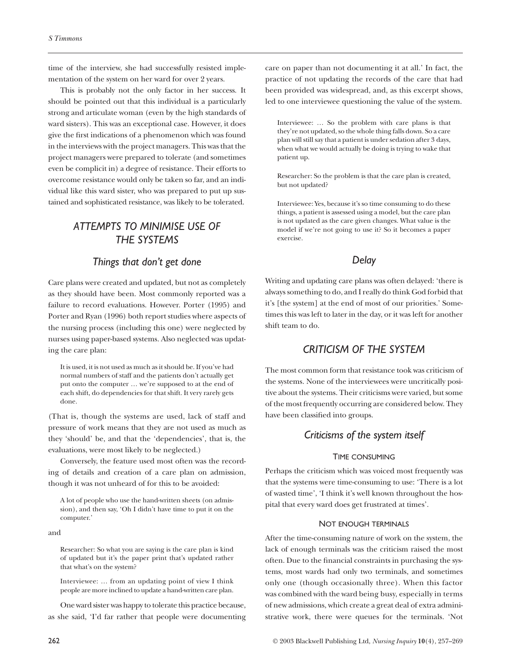time of the interview, she had successfully resisted implementation of the system on her ward for over 2 years.

This is probably not the only factor in her success. It should be pointed out that this individual is a particularly strong and articulate woman (even by the high standards of ward sisters). This was an exceptional case. However, it does give the first indications of a phenomenon which was found in the interviews with the project managers. This was that the project managers were prepared to tolerate (and sometimes even be complicit in) a degree of resistance. Their efforts to overcome resistance would only be taken so far, and an individual like this ward sister, who was prepared to put up sustained and sophisticated resistance, was likely to be tolerated.

# *ATTEMPTS TO MINIMISE USE OF THE SYSTEMS*

## *Things that don't get done*

Care plans were created and updated, but not as completely as they should have been. Most commonly reported was a failure to record evaluations. However. Porter (1995) and Porter and Ryan (1996) both report studies where aspects of the nursing process (including this one) were neglected by nurses using paper-based systems. Also neglected was updating the care plan:

It is used, it is not used as much as it should be. If you've had normal numbers of staff and the patients don't actually get put onto the computer … we're supposed to at the end of each shift, do dependencies for that shift. It very rarely gets done.

(That is, though the systems are used, lack of staff and pressure of work means that they are not used as much as they 'should' be, and that the 'dependencies', that is, the evaluations, were most likely to be neglected.)

Conversely, the feature used most often was the recording of details and creation of a care plan on admission, though it was not unheard of for this to be avoided:

A lot of people who use the hand-written sheets (on admission), and then say, 'Oh I didn't have time to put it on the computer.'

and

Researcher: So what you are saying is the care plan is kind of updated but it's the paper print that's updated rather that what's on the system?

Interviewee: … from an updating point of view I think people are more inclined to update a hand-written care plan.

One ward sister was happy to tolerate this practice because, as she said, 'I'd far rather that people were documenting care on paper than not documenting it at all.' In fact, the practice of not updating the records of the care that had been provided was widespread, and, as this excerpt shows, led to one interviewee questioning the value of the system.

Interviewee: … So the problem with care plans is that they're not updated, so the whole thing falls down. So a care plan will still say that a patient is under sedation after 3 days, when what we would actually be doing is trying to wake that patient up.

Researcher: So the problem is that the care plan is created, but not updated?

Interviewee: Yes, because it's so time consuming to do these things, a patient is assessed using a model, but the care plan is not updated as the care given changes. What value is the model if we're not going to use it? So it becomes a paper exercise.

## *Delay*

Writing and updating care plans was often delayed: 'there is always something to do, and I really do think God forbid that it's [the system] at the end of most of our priorities.' Sometimes this was left to later in the day, or it was left for another shift team to do.

## *CRITICISM OF THE SYSTEM*

The most common form that resistance took was criticism of the systems. None of the interviewees were uncritically positive about the systems. Their criticisms were varied, but some of the most frequently occurring are considered below. They have been classified into groups.

## *Criticisms of the system itself*

#### TIME CONSUMING

Perhaps the criticism which was voiced most frequently was that the systems were time-consuming to use: 'There is a lot of wasted time', 'I think it's well known throughout the hospital that every ward does get frustrated at times'.

#### NOT ENOUGH TERMINALS

After the time-consuming nature of work on the system, the lack of enough terminals was the criticism raised the most often. Due to the financial constraints in purchasing the systems, most wards had only two terminals, and sometimes only one (though occasionally three). When this factor was combined with the ward being busy, especially in terms of new admissions, which create a great deal of extra administrative work, there were queues for the terminals. 'Not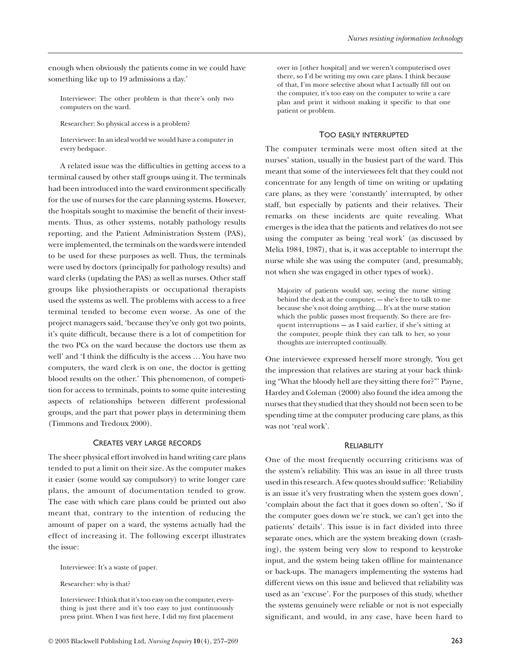enough when obviously the patients come in we could have something like up to 19 admissions a day.'

Interviewee: The other problem is that there's only two computers on the ward.

Researcher: So physical access is a problem?

Interviewee: In an ideal world we would have a computer in every bedspace.

A related issue was the difficulties in getting access to a terminal caused by other staff groups using it. The terminals had been introduced into the ward environment specifically for the use of nurses for the care planning systems. However, the hospitals sought to maximise the benefit of their investments. Thus, as other systems, notably pathology results reporting, and the Patient Administration System (PAS), were implemented, the terminals on the wards were intended to be used for these purposes as well. Thus, the terminals were used by doctors (principally for pathology results) and ward clerks (updating the PAS) as well as nurses. Other staff groups like physiotherapists or occupational therapists used the systems as well. The problems with access to a free terminal tended to become even worse. As one of the project managers said, 'because they've only got two points, it's quite difficult, because there is a lot of competition for the two PCs on the ward because the doctors use them as well' and 'I think the difficulty is the access … You have two computers, the ward clerk is on one, the doctor is getting blood results on the other.' This phenomenon, of competition for access to terminals, points to some quite interesting aspects of relationships between different professional groups, and the part that power plays in determining them (Timmons and Tredoux 2000).

#### CREATES VERY LARGE RECORDS

The sheer physical effort involved in hand writing care plans tended to put a limit on their size. As the computer makes it easier (some would say compulsory) to write longer care plans, the amount of documentation tended to grow. The ease with which care plans could be printed out also meant that, contrary to the intention of reducing the amount of paper on a ward, the systems actually had the effect of increasing it. The following excerpt illustrates the issue:

Interviewee: It's a waste of paper.

Researcher: why is that?

Interviewee: I think that it's too easy on the computer, everything is just there and it's too easy to just continuously press print. When I was first here, I did my first placement over in [other hospital] and we weren't computerised over there, so I'd be writing my own care plans. I think because of that, I'm more selective about what I actually fill out on the computer, it's too easy on the computer to write a care plan and print it without making it specific to that one patient or problem.

#### TOO EASILY INTERRUPTED

The computer terminals were most often sited at the nurses' station, usually in the busiest part of the ward. This meant that some of the interviewees felt that they could not concentrate for any length of time on writing or updating care plans, as they were 'constantly' interrupted, by other staff, but especially by patients and their relatives. Their remarks on these incidents are quite revealing. What emerges is the idea that the patients and relatives do not see using the computer as being 'real work' (as discussed by Melia 1984, 1987), that is, it was acceptable to interrupt the nurse while she was using the computer (and, presumably, not when she was engaged in other types of work).

Majority of patients would say, seeing the nurse sitting behind the desk at the computer, — she's free to talk to me because she's not doing anything.... It's at the nurse station which the public passes most frequently. So there are frequent interruptions — as I said earlier, if she's sitting at the computer, people think they can talk to her, so your thoughts are interrupted continually.

One interviewee expressed herself more strongly, 'You get the impression that relatives are staring at your back thinking "What the bloody hell are they sitting there for?"' Payne, Hardey and Coleman (2000) also found the idea among the nurses that they studied that they should not been seen to be spending time at the computer producing care plans, as this was not 'real work'.

#### **RELIABILITY**

One of the most frequently occurring criticisms was of the system's reliability. This was an issue in all three trusts used in this research. A few quotes should suffice: 'Reliability is an issue it's very frustrating when the system goes down', 'complain about the fact that it goes down so often', 'So if the computer goes down we're stuck, we can't get into the patients' details'. This issue is in fact divided into three separate ones, which are the system breaking down (crashing), the system being very slow to respond to keystroke input, and the system being taken offline for maintenance or back-ups. The managers implementing the systems had different views on this issue and believed that reliability was used as an 'excuse'. For the purposes of this study, whether the systems genuinely were reliable or not is not especially significant, and would, in any case, have been hard to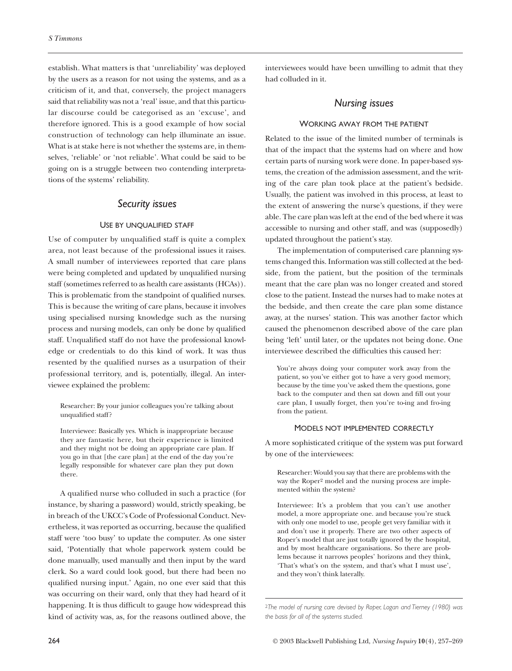establish. What matters is that 'unreliability' was deployed by the users as a reason for not using the systems, and as a criticism of it, and that, conversely, the project managers said that reliability was not a 'real' issue, and that this particular discourse could be categorised as an 'excuse', and therefore ignored. This is a good example of how social construction of technology can help illuminate an issue. What is at stake here is not whether the systems are, in themselves, 'reliable' or 'not reliable'. What could be said to be going on is a struggle between two contending interpretations of the systems' reliability.

## *Security issues*

#### USE BY UNQUALIFIED STAFF

Use of computer by unqualified staff is quite a complex area, not least because of the professional issues it raises. A small number of interviewees reported that care plans were being completed and updated by unqualified nursing staff (sometimes referred to as health care assistants (HCAs)). This is problematic from the standpoint of qualified nurses. This is because the writing of care plans, because it involves using specialised nursing knowledge such as the nursing process and nursing models, can only be done by qualified staff. Unqualified staff do not have the professional knowledge or credentials to do this kind of work. It was thus resented by the qualified nurses as a usurpation of their professional territory, and is, potentially, illegal. An interviewee explained the problem:

Researcher: By your junior colleagues you're talking about unqualified staff?

Interviewee: Basically yes. Which is inappropriate because they are fantastic here, but their experience is limited and they might not be doing an appropriate care plan. If you go in that [the care plan] at the end of the day you're legally responsible for whatever care plan they put down there.

A qualified nurse who colluded in such a practice (for instance, by sharing a password) would, strictly speaking, be in breach of the UKCC's Code of Professional Conduct. Nevertheless, it was reported as occurring, because the qualified staff were 'too busy' to update the computer. As one sister said, 'Potentially that whole paperwork system could be done manually, used manually and then input by the ward clerk. So a ward could look good, but there had been no qualified nursing input.' Again, no one ever said that this was occurring on their ward, only that they had heard of it happening. It is thus difficult to gauge how widespread this kind of activity was, as, for the reasons outlined above, the interviewees would have been unwilling to admit that they had colluded in it.

#### *Nursing issues*

#### WORKING AWAY FROM THE PATIENT

Related to the issue of the limited number of terminals is that of the impact that the systems had on where and how certain parts of nursing work were done. In paper-based systems, the creation of the admission assessment, and the writing of the care plan took place at the patient's bedside. Usually, the patient was involved in this process, at least to the extent of answering the nurse's questions, if they were able. The care plan was left at the end of the bed where it was accessible to nursing and other staff, and was (supposedly) updated throughout the patient's stay.

The implementation of computerised care planning systems changed this. Information was still collected at the bedside, from the patient, but the position of the terminals meant that the care plan was no longer created and stored close to the patient. Instead the nurses had to make notes at the bedside, and then create the care plan some distance away, at the nurses' station. This was another factor which caused the phenomenon described above of the care plan being 'left' until later, or the updates not being done. One interviewee described the difficulties this caused her:

You're always doing your computer work away from the patient, so you've either got to have a very good memory, because by the time you've asked them the questions, gone back to the computer and then sat down and fill out your care plan, I usually forget, then you're to-ing and fro-ing from the patient.

#### MODELS NOT IMPLEMENTED CORRECTLY

A more sophisticated critique of the system was put forward by one of the interviewees:

Researcher: Would you say that there are problems with the way the Roper2 model and the nursing process are implemented within the system?

Interviewee: It's a problem that you can't use another model, a more appropriate one. and because you're stuck with only one model to use, people get very familiar with it and don't use it properly. There are two other aspects of Roper's model that are just totally ignored by the hospital, and by most healthcare organisations. So there are problems because it narrows peoples' horizons and they think, 'That's what's on the system, and that's what I must use', and they won't think laterally.

<sup>2</sup>*The model of nursing care devised by Roper, Logan and Tierney (1980) was the basis for all of the systems studied.*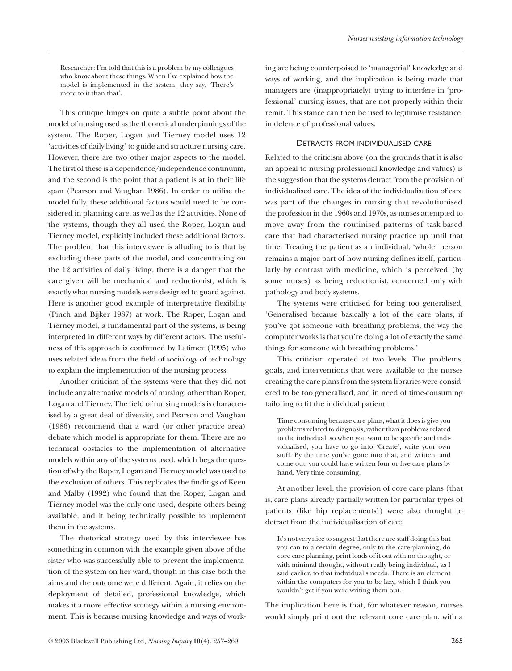Researcher: I'm told that this is a problem by my colleagues who know about these things. When I've explained how the model is implemented in the system, they say, 'There's more to it than that'.

This critique hinges on quite a subtle point about the model of nursing used as the theoretical underpinnings of the system. The Roper, Logan and Tierney model uses 12 'activities of daily living' to guide and structure nursing care. However, there are two other major aspects to the model. The first of these is a dependence/independence continuum, and the second is the point that a patient is at in their life span (Pearson and Vaughan 1986). In order to utilise the model fully, these additional factors would need to be considered in planning care, as well as the 12 activities. None of the systems, though they all used the Roper, Logan and Tierney model, explicitly included these additional factors. The problem that this interviewee is alluding to is that by excluding these parts of the model, and concentrating on the 12 activities of daily living, there is a danger that the care given will be mechanical and reductionist, which is exactly what nursing models were designed to guard against. Here is another good example of interpretative flexibility (Pinch and Bijker 1987) at work. The Roper, Logan and Tierney model, a fundamental part of the systems, is being interpreted in different ways by different actors. The usefulness of this approach is confirmed by Latimer (1995) who uses related ideas from the field of sociology of technology to explain the implementation of the nursing process.

Another criticism of the systems were that they did not include any alternative models of nursing, other than Roper, Logan and Tierney. The field of nursing models is characterised by a great deal of diversity, and Pearson and Vaughan (1986) recommend that a ward (or other practice area) debate which model is appropriate for them. There are no technical obstacles to the implementation of alternative models within any of the systems used, which begs the question of why the Roper, Logan and Tierney model was used to the exclusion of others. This replicates the findings of Keen and Malby (1992) who found that the Roper, Logan and Tierney model was the only one used, despite others being available, and it being technically possible to implement them in the systems.

The rhetorical strategy used by this interviewee has something in common with the example given above of the sister who was successfully able to prevent the implementation of the system on her ward, though in this case both the aims and the outcome were different. Again, it relies on the deployment of detailed, professional knowledge, which makes it a more effective strategy within a nursing environment. This is because nursing knowledge and ways of working are being counterpoised to 'managerial' knowledge and ways of working, and the implication is being made that managers are (inappropriately) trying to interfere in 'professional' nursing issues, that are not properly within their remit. This stance can then be used to legitimise resistance, in defence of professional values.

#### DETRACTS FROM INDIVIDUALISED CARE

Related to the criticism above (on the grounds that it is also an appeal to nursing professional knowledge and values) is the suggestion that the systems detract from the provision of individualised care. The idea of the individualisation of care was part of the changes in nursing that revolutionised the profession in the 1960s and 1970s, as nurses attempted to move away from the routinised patterns of task-based care that had characterised nursing practice up until that time. Treating the patient as an individual, 'whole' person remains a major part of how nursing defines itself, particularly by contrast with medicine, which is perceived (by some nurses) as being reductionist, concerned only with pathology and body systems.

The systems were criticised for being too generalised, 'Generalised because basically a lot of the care plans, if you've got someone with breathing problems, the way the computer works is that you're doing a lot of exactly the same things for someone with breathing problems.'

This criticism operated at two levels. The problems, goals, and interventions that were available to the nurses creating the care plans from the system libraries were considered to be too generalised, and in need of time-consuming tailoring to fit the individual patient:

Time consuming because care plans, what it does is give you problems related to diagnosis, rather than problems related to the individual, so when you want to be specific and individualised, you have to go into 'Create', write your own stuff. By the time you've gone into that, and written, and come out, you could have written four or five care plans by hand. Very time consuming.

At another level, the provision of core care plans (that is, care plans already partially written for particular types of patients (like hip replacements)) were also thought to detract from the individualisation of care.

It's not very nice to suggest that there are staff doing this but you can to a certain degree, only to the care planning, do core care planning, print loads of it out with no thought, or with minimal thought, without really being individual, as I said earlier, to that individual's needs. There is an element within the computers for you to be lazy, which I think you wouldn't get if you were writing them out.

The implication here is that, for whatever reason, nurses would simply print out the relevant core care plan, with a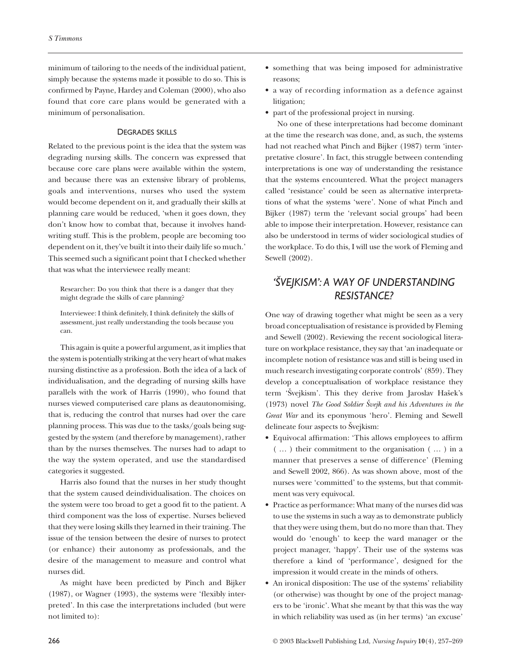minimum of tailoring to the needs of the individual patient, simply because the systems made it possible to do so. This is confirmed by Payne, Hardey and Coleman (2000), who also found that core care plans would be generated with a minimum of personalisation.

#### DEGRADES SKILLS

Related to the previous point is the idea that the system was degrading nursing skills. The concern was expressed that because core care plans were available within the system, and because there was an extensive library of problems, goals and interventions, nurses who used the system would become dependent on it, and gradually their skills at planning care would be reduced, 'when it goes down, they don't know how to combat that, because it involves handwriting stuff. This is the problem, people are becoming too dependent on it, they've built it into their daily life so much.' This seemed such a significant point that I checked whether that was what the interviewee really meant:

Researcher: Do you think that there is a danger that they might degrade the skills of care planning?

Interviewee: I think definitely, I think definitely the skills of assessment, just really understanding the tools because you can.

This again is quite a powerful argument, as it implies that the system is potentially striking at the very heart of what makes nursing distinctive as a profession. Both the idea of a lack of individualisation, and the degrading of nursing skills have parallels with the work of Harris (1990), who found that nurses viewed computerised care plans as deautonomising, that is, reducing the control that nurses had over the care planning process. This was due to the tasks/goals being suggested by the system (and therefore by management), rather than by the nurses themselves. The nurses had to adapt to the way the system operated, and use the standardised categories it suggested.

Harris also found that the nurses in her study thought that the system caused deindividualisation. The choices on the system were too broad to get a good fit to the patient. A third component was the loss of expertise. Nurses believed that they were losing skills they learned in their training. The issue of the tension between the desire of nurses to protect (or enhance) their autonomy as professionals, and the desire of the management to measure and control what nurses did.

As might have been predicted by Pinch and Bijker (1987), or Wagner (1993), the systems were 'flexibly interpreted'. In this case the interpretations included (but were not limited to):

- something that was being imposed for administrative reasons;
- a way of recording information as a defence against litigation;
- part of the professional project in nursing.

No one of these interpretations had become dominant at the time the research was done, and, as such, the systems had not reached what Pinch and Bijker (1987) term 'interpretative closure'. In fact, this struggle between contending interpretations is one way of understanding the resistance that the systems encountered. What the project managers called 'resistance' could be seen as alternative interpretations of what the systems 'were'. None of what Pinch and Bijker (1987) term the 'relevant social groups' had been able to impose their interpretation. However, resistance can also be understood in terms of wider sociological studies of the workplace. To do this, I will use the work of Fleming and Sewell (2002).

# *'*1*VEJKISM': A WAY OF UNDERSTANDING RESISTANCE?*

One way of drawing together what might be seen as a very broad conceptualisation of resistance is provided by Fleming and Sewell (2002). Reviewing the recent sociological literature on workplace resistance, they say that 'an inadequate or incomplete notion of resistance was and still is being used in much research investigating corporate controls' (859). They develop a conceptualisation of workplace resistance they term 'Svejkism'. This they derive from Jaroslav Hasek's (1973) novel *The Good Soldier* Í*vejk and his Adventures in the Great War* and its eponymous 'hero'. Fleming and Sewell delineate four aspects to Svejkism:

- Equivocal affirmation: 'This allows employees to affirm ( … ) their commitment to the organisation ( … ) in a manner that preserves a sense of difference' (Fleming and Sewell 2002, 866). As was shown above, most of the nurses were 'committed' to the systems, but that commitment was very equivocal.
- Practice as performance: What many of the nurses did was to use the systems in such a way as to demonstrate publicly that they were using them, but do no more than that. They would do 'enough' to keep the ward manager or the project manager, 'happy'. Their use of the systems was therefore a kind of 'performance', designed for the impression it would create in the minds of others.
- An ironical disposition: The use of the systems' reliability (or otherwise) was thought by one of the project managers to be 'ironic'. What she meant by that this was the way in which reliability was used as (in her terms) 'an excuse'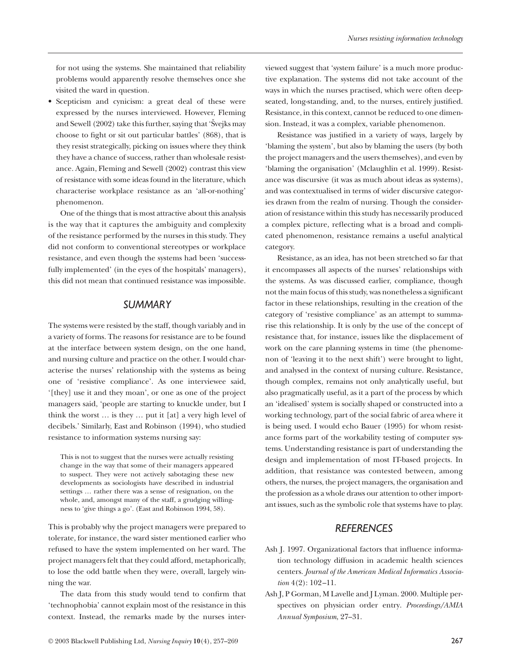for not using the systems. She maintained that reliability problems would apparently resolve themselves once she visited the ward in question.

• Scepticism and cynicism: a great deal of these were expressed by the nurses interviewed. However, Fleming and Sewell (2002) take this further, saying that 'Svejks may choose to fight or sit out particular battles' (868), that is they resist strategically, picking on issues where they think they have a chance of success, rather than wholesale resistance. Again, Fleming and Sewell (2002) contrast this view of resistance with some ideas found in the literature, which characterise workplace resistance as an 'all-or-nothing' phenomenon.

One of the things that is most attractive about this analysis is the way that it captures the ambiguity and complexity of the resistance performed by the nurses in this study. They did not conform to conventional stereotypes or workplace resistance, and even though the systems had been 'successfully implemented' (in the eyes of the hospitals' managers), this did not mean that continued resistance was impossible.

## *SUMMARY*

The systems were resisted by the staff, though variably and in a variety of forms. The reasons for resistance are to be found at the interface between system design, on the one hand, and nursing culture and practice on the other. I would characterise the nurses' relationship with the systems as being one of 'resistive compliance'. As one interviewee said, '[they] use it and they moan', or one as one of the project managers said, 'people are starting to knuckle under, but I think the worst … is they … put it [at] a very high level of decibels.' Similarly, East and Robinson (1994), who studied resistance to information systems nursing say:

This is not to suggest that the nurses were actually resisting change in the way that some of their managers appeared to suspect. They were not actively sabotaging these new developments as sociologists have described in industrial settings … rather there was a sense of resignation, on the whole, and, amongst many of the staff, a grudging willingness to 'give things a go'. (East and Robinson 1994, 58).

This is probably why the project managers were prepared to tolerate, for instance, the ward sister mentioned earlier who refused to have the system implemented on her ward. The project managers felt that they could afford, metaphorically, to lose the odd battle when they were, overall, largely winning the war.

The data from this study would tend to confirm that 'technophobia' cannot explain most of the resistance in this context. Instead, the remarks made by the nurses interviewed suggest that 'system failure' is a much more productive explanation. The systems did not take account of the ways in which the nurses practised, which were often deepseated, long-standing, and, to the nurses, entirely justified. Resistance, in this context, cannot be reduced to one dimension. Instead, it was a complex, variable phenomenon.

Resistance was justified in a variety of ways, largely by 'blaming the system', but also by blaming the users (by both the project managers and the users themselves), and even by 'blaming the organisation' (Mclaughlin et al. 1999). Resistance was discursive (it was as much about ideas as systems), and was contextualised in terms of wider discursive categories drawn from the realm of nursing. Though the consideration of resistance within this study has necessarily produced a complex picture, reflecting what is a broad and complicated phenomenon, resistance remains a useful analytical category.

Resistance, as an idea, has not been stretched so far that it encompasses all aspects of the nurses' relationships with the systems. As was discussed earlier, compliance, though not the main focus of this study, was nonetheless a significant factor in these relationships, resulting in the creation of the category of 'resistive compliance' as an attempt to summarise this relationship. It is only by the use of the concept of resistance that, for instance, issues like the displacement of work on the care planning systems in time (the phenomenon of 'leaving it to the next shift') were brought to light, and analysed in the context of nursing culture. Resistance, though complex, remains not only analytically useful, but also pragmatically useful, as it a part of the process by which an 'idealised' system is socially shaped or constructed into a working technology, part of the social fabric of area where it is being used. I would echo Bauer (1995) for whom resistance forms part of the workability testing of computer systems. Understanding resistance is part of understanding the design and implementation of most IT-based projects. In addition, that resistance was contested between, among others, the nurses, the project managers, the organisation and the profession as a whole draws our attention to other important issues, such as the symbolic role that systems have to play.

## *REFERENCES*

- Ash J. 1997. Organizational factors that influence information technology diffusion in academic health sciences centers. *Journal of the American Medical Informatics Association* 4(2): 102–11.
- Ash J, P Gorman, M Lavelle and J Lyman. 2000. Multiple perspectives on physician order entry. *Proceedings/AMIA Annual Symposium*, 27–31.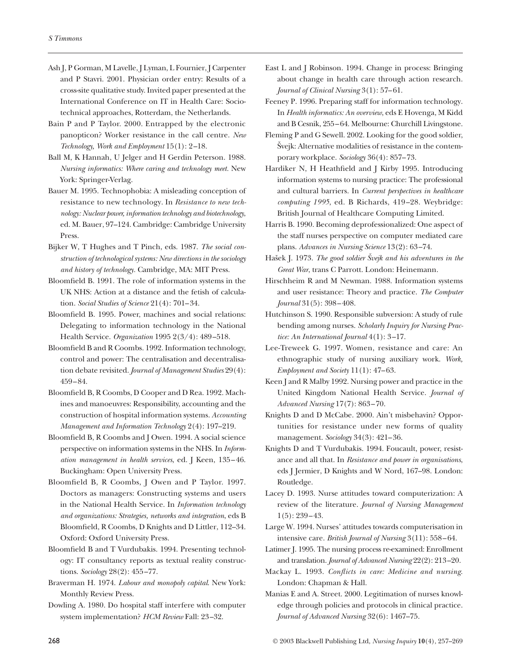- Ash J, P Gorman, M Lavelle, J Lyman, L Fournier, J Carpenter and P Stavri. 2001. Physician order entry: Results of a cross-site qualitative study. Invited paper presented at the International Conference on IT in Health Care: Sociotechnical approaches, Rotterdam, the Netherlands.
- Bain P and P Taylor. 2000. Entrapped by the electronic panopticon? Worker resistance in the call centre. *New Technology, Work and Employment* 15(1): 2–18.
- Ball M, K Hannah, U Jelger and H Gerdin Peterson. 1988. *Nursing informatics: Where caring and technology meet.* New York: Springer-Verlag.
- Bauer M. 1995. Technophobia: A misleading conception of resistance to new technology. In *Resistance to new technology: Nuclear power, information technology and biotechnology*, ed. M. Bauer, 97–124. Cambridge: Cambridge University Press.
- Bijker W, T Hughes and T Pinch, eds. 1987. *The social construction of technological systems: New directions in the sociology and history of technology.* Cambridge, MA: MIT Press.
- Bloomfield B. 1991. The role of information systems in the UK NHS: Action at a distance and the fetish of calculation. *Social Studies of Science* 21(4): 701–34.
- Bloomfield B. 1995. Power, machines and social relations: Delegating to information technology in the National Health Service. *Organization* 1995 2(3/4): 489–518.
- Bloomfield B and R Coombs. 1992. Information technology, control and power: The centralisation and decentralisation debate revisited. *Journal of Management Studies* 29(4): 459–84.
- Bloomfield B, R Coombs, D Cooper and D Rea. 1992. Machines and manoeuvres: Responsibility, accounting and the construction of hospital information systems. *Accounting Management and Information Technology* 2(4): 197–219.
- Bloomfield B, R Coombs and J Owen. 1994. A social science perspective on information systems in the NHS*.* In *Information management in health services*, ed. J Keen, 135–46. Buckingham: Open University Press.
- Bloomfield B, R Coombs, J Owen and P Taylor. 1997. Doctors as managers: Constructing systems and users in the National Health Service. In *Information technology and organizations: Strategies, networks and integration*, eds B Bloomfield, R Coombs, D Knights and D Littler, 112–34. Oxford: Oxford University Press.
- Bloomfield B and T Vurdubakis. 1994. Presenting technology: IT consultancy reports as textual reality constructions. *Sociology* 28(2): 455–77.
- Braverman H. 1974. *Labour and monopoly capital*. New York: Monthly Review Press.
- Dowling A. 1980. Do hospital staff interfere with computer system implementation? *HCM Review* Fall: 23–32.
- East L and J Robinson. 1994. Change in process: Bringing about change in health care through action research. *Journal of Clinical Nursing* 3(1): 57–61.
- Feeney P. 1996. Preparing staff for information technology. In *Health informatics: An overview*, eds E Hovenga, M Kidd and B Cesnik, 255–64. Melbourne: Churchill Livingstone.
- Fleming P and G Sewell. 2002. Looking for the good soldier, Svejk: Alternative modalities of resistance in the contemporary workplace. *Sociology* 36(4): 857–73.
- Hardiker N, H Heathfield and J Kirby 1995. Introducing information systems to nursing practice: The professional and cultural barriers. In *Current perspectives in healthcare computing 1995*, ed. B Richards, 419–28. Weybridge: British Journal of Healthcare Computing Limited.
- Harris B. 1990. Becoming deprofessionalized: One aspect of the staff nurses perspective on computer mediated care plans. *Advances in Nursing Science* 13(2): 63–74.
- Hasek J. 1973. *The good soldier* Í*vejk and his adventures in the Great War*, trans C Parrott. London: Heinemann.
- Hirschheim R and M Newman. 1988. Information systems and user resistance: Theory and practice. *The Computer Journal* 31(5): 398–408.
- Hutchinson S. 1990. Responsible subversion: A study of rule bending among nurses. *Scholarly Inquiry for Nursing Practice: An International Journal* 4(1): 3–17.
- Lee-Treweek G. 1997. Women, resistance and care: An ethnographic study of nursing auxiliary work. *Work, Employment and Society* 11(1): 47–63.
- Keen J and R Malby 1992. Nursing power and practice in the United Kingdom National Health Service. *Journal of Advanced Nursing* 17(7): 863–70.
- Knights D and D McCabe. 2000. Ain't misbehavin? Opportunities for resistance under new forms of quality management. *Sociology* 34(3): 421–36.
- Knights D and T Vurdubakis. 1994. Foucault, power, resistance and all that. In *Resistance and power in organisations*, eds J Jermier, D Knights and W Nord, 167–98. London: Routledge.
- Lacey D. 1993. Nurse attitudes toward computerization: A review of the literature. *Journal of Nursing Management* 1(5): 239–43.
- Large W. 1994. Nurses' attitudes towards computerisation in intensive care. *British Journal of Nursing* 3(11): 558–64.
- Latimer J. 1995. The nursing process re-examined: Enrollment and translation. *Journal of Advanced Nursing* 22(2): 213–20.
- Mackay L. 1993. *Conflicts in care: Medicine and nursing*. London: Chapman & Hall.
- Manias E and A. Street. 2000. Legitimation of nurses knowledge through policies and protocols in clinical practice. *Journal of Advanced Nursing* 32(6): 1467–75.